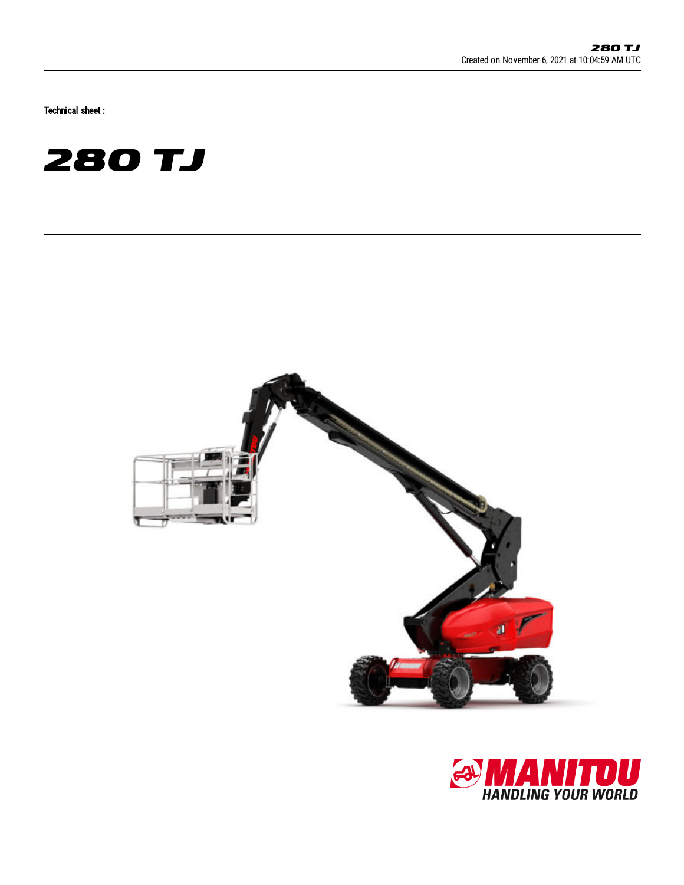Technical sheet :





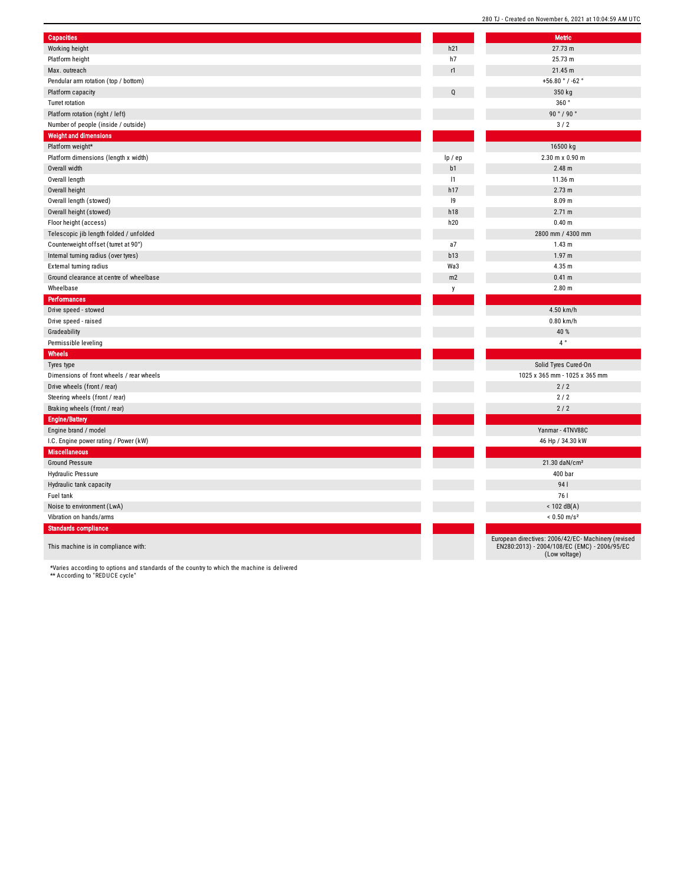| <b>Capacities</b>                        |         | <b>Metric</b>                                                                                       |
|------------------------------------------|---------|-----------------------------------------------------------------------------------------------------|
| Working height                           | h21     | 27.73 m                                                                                             |
| Platform height                          | h7      | 25.73 m                                                                                             |
| Max. outreach                            | r1      | 21.45 m                                                                                             |
| Pendular arm rotation (top / bottom)     |         | +56.80 $^{\circ}$ / -62 $^{\circ}$                                                                  |
| Platform capacity                        | Q       | 350 kg                                                                                              |
| Turret rotation                          |         | 360°                                                                                                |
| Platform rotation (right / left)         |         | 90°/90°                                                                                             |
| Number of people (inside / outside)      |         | 3/2                                                                                                 |
| <b>Weight and dimensions</b>             |         |                                                                                                     |
| Platform weight*                         |         | 16500 kg                                                                                            |
| Platform dimensions (length x width)     | lp / ep | 2.30 m x 0.90 m                                                                                     |
| Overall width                            | b1      | 2.48 m                                                                                              |
| Overall length                           | 1       | 11.36 m                                                                                             |
| Overall height                           | h17     | 2.73 m                                                                                              |
| Overall length (stowed)                  | 9       | 8.09 <sub>m</sub>                                                                                   |
| Overall height (stowed)                  | h18     | 2.71 m                                                                                              |
| Floor height (access)                    | h20     | 0.40 m                                                                                              |
| Telescopic jib length folded / unfolded  |         | 2800 mm / 4300 mm                                                                                   |
| Counterweight offset (turret at 90°)     | a7      | 1.43 m                                                                                              |
| Internal turning radius (over tyres)     | b13     | 1.97 m                                                                                              |
| External turning radius                  | Wa3     | 4.35 m                                                                                              |
| Ground clearance at centre of wheelbase  | m2      | 0.41 m                                                                                              |
| Wheelbase                                |         | 2.80 <sub>m</sub>                                                                                   |
| <b>Performances</b>                      | y       |                                                                                                     |
|                                          |         | 4.50 km/h                                                                                           |
| Drive speed - stowed                     |         | 0.80 km/h                                                                                           |
| Drive speed - raised                     |         | 40 %                                                                                                |
| Gradeability                             |         | $4^{\circ}$                                                                                         |
| Permissible leveling                     |         |                                                                                                     |
| Wheels                                   |         |                                                                                                     |
| Tyres type                               |         | Solid Tyres Cured-On                                                                                |
| Dimensions of front wheels / rear wheels |         | 1025 x 365 mm - 1025 x 365 mm                                                                       |
| Drive wheels (front / rear)              |         | 2/2                                                                                                 |
| Steering wheels (front / rear)           |         | $2/2$                                                                                               |
| Braking wheels (front / rear)            |         | 2/2                                                                                                 |
| <b>Engine/Battery</b>                    |         |                                                                                                     |
| Engine brand / model                     |         | Yanmar - 4TNV88C                                                                                    |
| I.C. Engine power rating / Power (kW)    |         | 46 Hp / 34.30 kW                                                                                    |
| <b>Miscellaneous</b>                     |         |                                                                                                     |
| <b>Ground Pressure</b>                   |         | 21.30 daN/cm <sup>2</sup>                                                                           |
| <b>Hydraulic Pressure</b>                |         | 400 bar                                                                                             |
| Hydraulic tank capacity                  |         | 941                                                                                                 |
| Fuel tank                                |         | 761                                                                                                 |
| Noise to environment (LwA)               |         | $<$ 102 dB(A)                                                                                       |
| Vibration on hands/arms                  |         | $< 0.50$ m/s <sup>2</sup>                                                                           |
| <b>Standards compliance</b>              |         |                                                                                                     |
| This machine is in compliance with:      |         | European directives: 2006/42/EC- Machinery (revised<br>EN280:2013) - 2004/108/EC (EMC) - 2006/95/EC |

\*Varies according to options and standards of the country to which the machine is delivered \*\* According to "REDUCE cycle"

Weight

Perfo

 $W$ hee

**Engin** 

Misc

Stand This  $\blacksquare$ 

(Low voltage)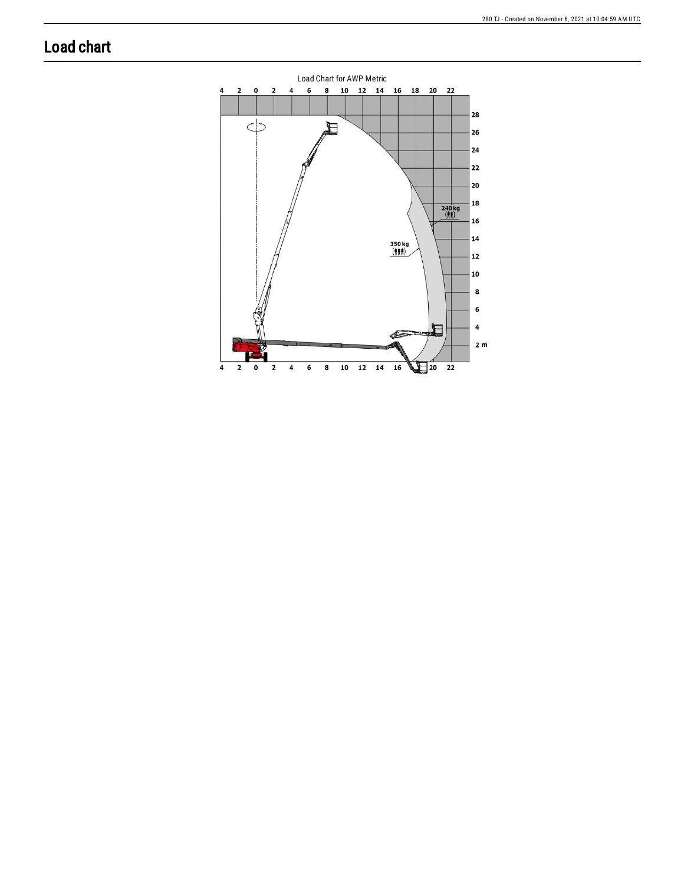## **Load chart**

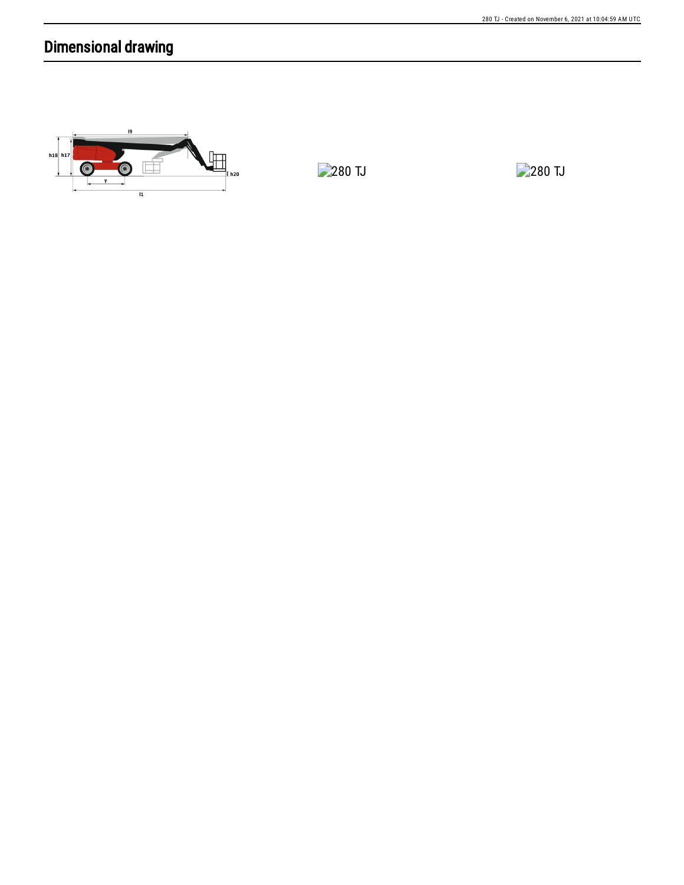## Dimensional drawing



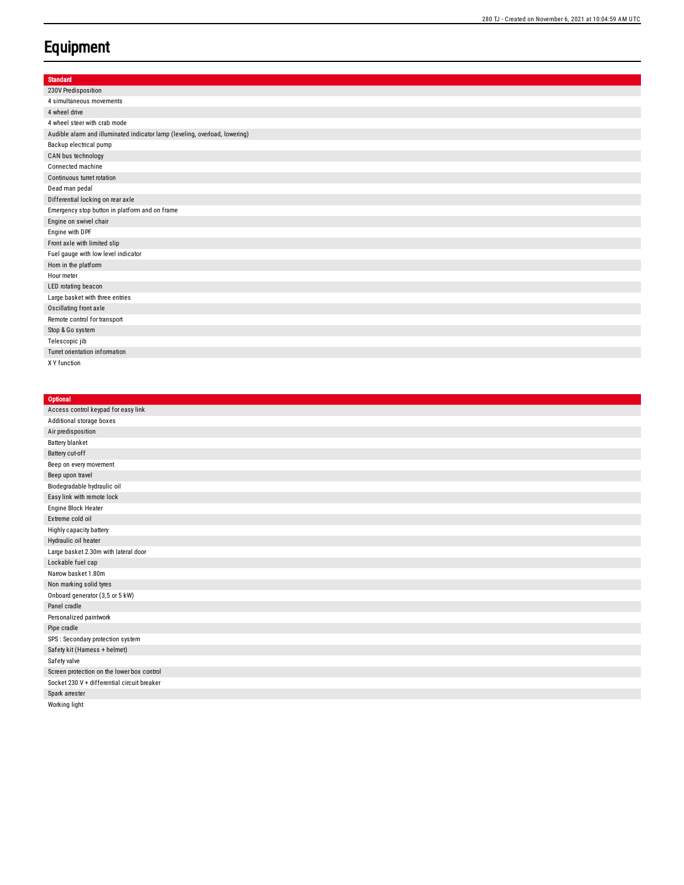## **Equipment**

| <b>Standard</b>                                                             |
|-----------------------------------------------------------------------------|
| 230V Predisposition                                                         |
| 4 simultaneous movements                                                    |
| 4 wheel drive                                                               |
| 4 wheel steer with crab mode                                                |
| Audible alarm and illuminated indicator lamp (leveling, overload, lowering) |
| Backup electrical pump                                                      |
| CAN bus technology                                                          |
| Connected machine                                                           |
| Continuous turret rotation                                                  |
| Dead man pedal                                                              |
| Differential locking on rear axle                                           |
| Emergency stop button in platform and on frame                              |
| Engine on swivel chair                                                      |
| Engine with DPF                                                             |
| Front axle with limited slip                                                |
| Fuel gauge with low level indicator                                         |
| Horn in the platform                                                        |
| Hour meter                                                                  |
| LED rotating beacon                                                         |
| Large basket with three entries                                             |
| Oscillating front axle                                                      |
| Remote control for transport                                                |
| Stop & Go system                                                            |
| Telescopic jib                                                              |
| Turret orientation information                                              |
| X Y function                                                                |

| <b>Optional</b>                             |
|---------------------------------------------|
| Access control keypad for easy link         |
| Additional storage boxes                    |
| Air predisposition                          |
| <b>Battery blanket</b>                      |
| Battery cut-off                             |
| Beep on every movement                      |
| Beep upon travel                            |
| Biodegradable hydraulic oil                 |
| Easy link with remote lock                  |
| Engine Block Heater                         |
| Extreme cold oil                            |
| Highly capacity battery                     |
| Hydraulic oil heater                        |
| Large basket 2.30m with lateral door        |
| Lockable fuel cap                           |
| Narrow basket 1.80m                         |
| Non marking solid tyres                     |
| Onboard generator (3,5 or 5 kW)             |
| Panel cradle                                |
| Personalized paintwork                      |
| Pipe cradle                                 |
| SPS : Secondary protection system           |
| Safety kit (Hamess + helmet)                |
| Safety valve                                |
| Screen protection on the lower box control  |
| Socket 230 V + differential circuit breaker |
| Spark arrester                              |
| Working light                               |